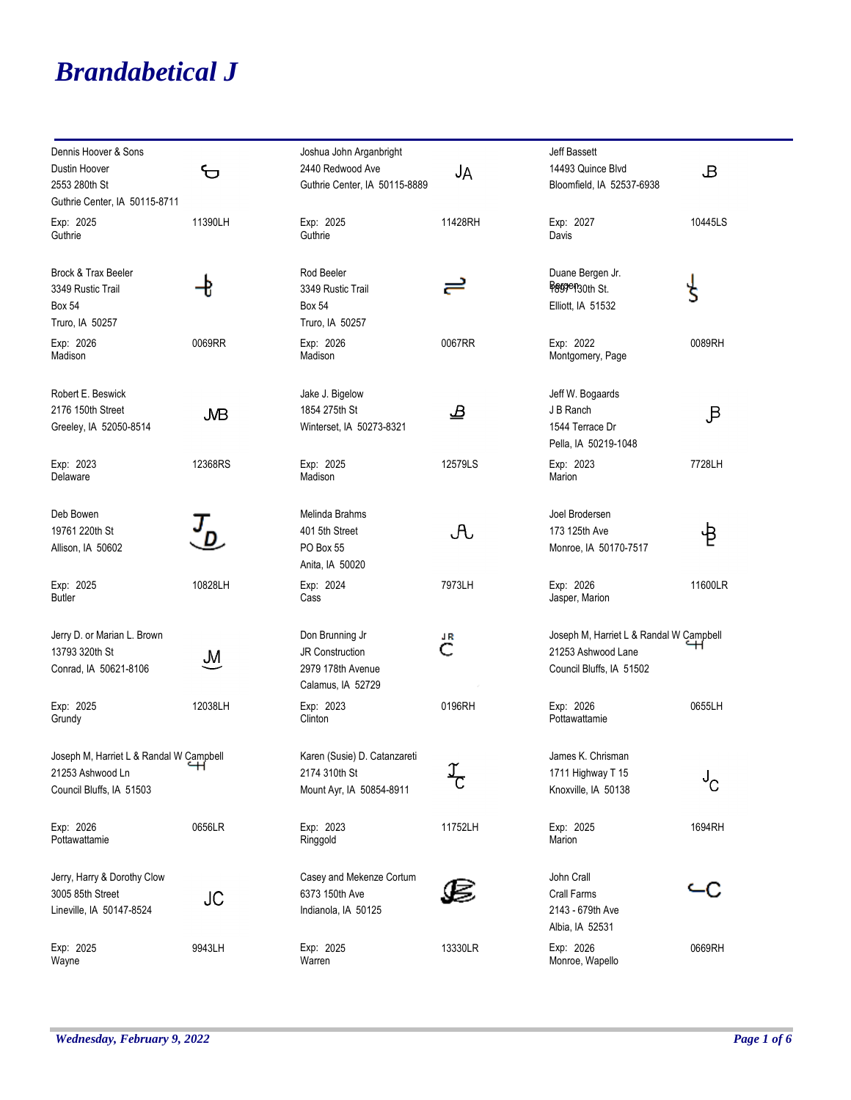## *Brandabetical J*

| Dennis Hoover & Sons<br>Dustin Hoover<br>2553 280th St<br>Guthrie Center, IA 50115-8711 | ᡃᠦ                        | Joshua John Arganbright<br>2440 Redwood Ave<br>Guthrie Center, IA 50115-8889        | JA      | Jeff Bassett<br>14493 Quince Blvd<br>Bloomfield, IA 52537-6938                            | B       |
|-----------------------------------------------------------------------------------------|---------------------------|-------------------------------------------------------------------------------------|---------|-------------------------------------------------------------------------------------------|---------|
| Exp: 2025<br>Guthrie                                                                    | 11390LH                   | Exp: 2025<br>Guthrie                                                                | 11428RH | Exp: 2027<br>Davis                                                                        | 10445LS |
| Brock & Trax Beeler<br>3349 Rustic Trail<br><b>Box 54</b><br>Truro, IA 50257            | Ð                         | Rod Beeler<br>3349 Rustic Trail<br><b>Box 54</b><br>Truro, IA 50257                 | ≓       | Duane Bergen Jr.<br>Beggen <sub>30th St.</sub><br>Elliott, IA 51532                       | Ś       |
| Exp: 2026<br>Madison                                                                    | 0069RR                    | Exp: 2026<br>Madison                                                                | 0067RR  | Exp: 2022<br>Montgomery, Page                                                             | 0089RH  |
| Robert E. Beswick<br>2176 150th Street<br>Greeley, IA 52050-8514                        | <b>JVB</b>                | Jake J. Bigelow<br>1854 275th St<br>Winterset, IA 50273-8321                        | ൧       | Jeff W. Bogaards<br>J B Ranch<br>1544 Terrace Dr<br>Pella, IA 50219-1048                  | B       |
| Exp: 2023<br>Delaware                                                                   | 12368RS                   | Exp: 2025<br>Madison                                                                | 12579LS | Exp: 2023<br>Marion                                                                       | 7728LH  |
| Deb Bowen<br>19761 220th St<br>Allison, IA 50602                                        |                           | Melinda Brahms<br>401 5th Street<br>PO Box 55<br>Anita, IA 50020                    | A       | Joel Brodersen<br>173 125th Ave<br>Monroe, IA 50170-7517                                  | 乜       |
| Exp: 2025<br><b>Butler</b>                                                              | 10828LH                   | Exp: 2024<br>Cass                                                                   | 7973LH  | Exp: 2026<br>Jasper, Marion                                                               | 11600LR |
| Jerry D. or Marian L. Brown<br>13793 320th St<br>Conrad, IA 50621-8106                  | $\mathsf{M}_{\mathsf{L}}$ | Don Brunning Jr<br><b>JR Construction</b><br>2979 178th Avenue<br>Calamus, IA 52729 | JR<br>C | Joseph M, Harriet L & Randal W Campbell<br>21253 Ashwood Lane<br>Council Bluffs, IA 51502 |         |
| Exp: 2025<br>Grundy                                                                     | 12038LH                   | Exp: 2023<br>Clinton                                                                | 0196RH  | Exp: 2026<br>Pottawattamie                                                                | 0655LH  |
| Joseph M, Harriet L & Randal W Campbell<br>21253 Ashwood Ln<br>Council Bluffs, IA 51503 |                           | Karen (Susie) D. Catanzareti<br>2174 310th St<br>Mount Ayr, IA 50854-8911           |         | James K. Chrisman<br>1711 Highway T 15<br>Knoxville, IA 50138                             | ს<br>C  |
| Exp: 2026<br>Pottawattamie                                                              | 0656LR                    | Exp: 2023<br>Ringgold                                                               | 11752LH | Exp: 2025<br>Marion                                                                       | 1694RH  |
| Jerry, Harry & Dorothy Clow<br>3005 85th Street<br>Lineville, IA 50147-8524             | JC                        | Casey and Mekenze Cortum<br>6373 150th Ave<br>Indianola, IA 50125                   |         | John Crall<br>Crall Farms<br>2143 - 679th Ave<br>Albia, IA 52531                          |         |
| Exp: 2025<br>Wayne                                                                      | 9943LH                    | Exp: 2025<br>Warren                                                                 | 13330LR | Exp: 2026<br>Monroe, Wapello                                                              | 0669RH  |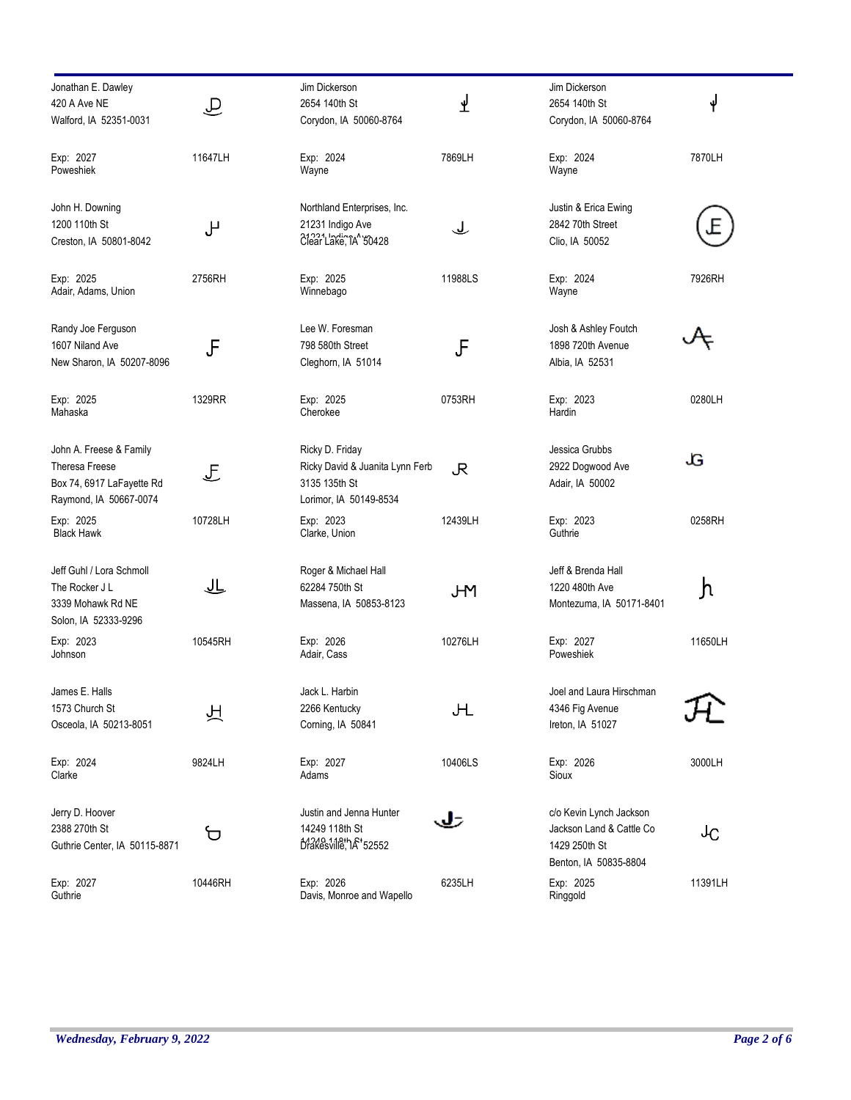| Jonathan E. Dawley<br>420 A Ave NE                                                                      | $\widehat{\tau}$   | Jim Dickerson<br>2654 140th St                                                                | ⊻       | Jim Dickerson<br>2654 140th St                                                                | ψ       |
|---------------------------------------------------------------------------------------------------------|--------------------|-----------------------------------------------------------------------------------------------|---------|-----------------------------------------------------------------------------------------------|---------|
| Walford, IA 52351-0031                                                                                  |                    | Corydon, IA 50060-8764                                                                        |         | Corydon, IA 50060-8764                                                                        |         |
| Exp: 2027<br>Poweshiek                                                                                  | 11647LH            | Exp: 2024<br>Wayne                                                                            | 7869LH  | Exp: 2024<br>Wayne                                                                            | 7870LH  |
| John H. Downing<br>1200 110th St<br>Creston, IA 50801-8042                                              | ىل                 | Northland Enterprises, Inc.<br>21231 Indigo Ave<br>Clear Lake, TA' 50428                      | ݐ       | Justin & Erica Ewing<br>2842 70th Street<br>Clio, IA 50052                                    |         |
| Exp: 2025<br>Adair, Adams, Union                                                                        | 2756RH             | Exp: 2025<br>Winnebago                                                                        | 11988LS | Exp: 2024<br>Wayne                                                                            | 7926RH  |
| Randy Joe Ferguson<br>1607 Niland Ave<br>New Sharon, IA 50207-8096                                      | JF                 | Lee W. Foresman<br>798 580th Street<br>Cleghorn, IA 51014                                     | F       | Josh & Ashley Foutch<br>1898 720th Avenue<br>Albia, IA 52531                                  |         |
| Exp: 2025<br>Mahaska                                                                                    | 1329RR             | Exp: 2025<br>Cherokee                                                                         | 0753RH  | Exp: 2023<br>Hardin                                                                           | 0280LH  |
| John A. Freese & Family<br><b>Theresa Freese</b><br>Box 74, 6917 LaFayette Rd<br>Raymond, IA 50667-0074 | $\mathbf{F}% _{0}$ | Ricky D. Friday<br>Ricky David & Juanita Lynn Ferb<br>3135 135th St<br>Lorimor, IA 50149-8534 | R       | Jessica Grubbs<br>2922 Dogwood Ave<br>Adair, IA 50002                                         | ٠G      |
| Exp: 2025<br><b>Black Hawk</b>                                                                          | 10728LH            | Exp: 2023<br>Clarke, Union                                                                    | 12439LH | Exp: 2023<br>Guthrie                                                                          | 0258RH  |
| Jeff Guhl / Lora Schmoll<br>The Rocker J L<br>3339 Mohawk Rd NE<br>Solon, IA 52333-9296                 |                    | Roger & Michael Hall<br>62284 750th St<br>Massena, IA 50853-8123                              | JМ      | Jeff & Brenda Hall<br>1220 480th Ave<br>Montezuma, IA 50171-8401                              | յի      |
| Exp: 2023<br>Johnson                                                                                    | 10545RH            | Exp: 2026<br>Adair, Cass                                                                      | 10276LH | Exp: 2027<br>Poweshiek                                                                        | 11650LH |
| James E. Halls<br>1573 Church St<br>Osceola, IA 50213-8051                                              | 彑                  | Jack L. Harbin<br>2266 Kentucky<br>Corning, IA 50841                                          | Щ       | Joel and Laura Hirschman<br>4346 Fig Avenue<br>Ireton, IA 51027                               |         |
| Exp: 2024<br>Clarke                                                                                     | 9824LH             | Exp: 2027<br>Adams                                                                            | 10406LS | Exp: 2026<br>Sioux                                                                            | 3000LH  |
| Jerry D. Hoover<br>2388 270th St<br>Guthrie Center, IA 50115-8871                                       | ₻                  | Justin and Jenna Hunter<br>14249 118th St<br>Drakesville, 14 52552                            | تك      | c/o Kevin Lynch Jackson<br>Jackson Land & Cattle Co<br>1429 250th St<br>Benton, IA 50835-8804 | ᠰᢕ      |
| Exp: 2027<br>Guthrie                                                                                    | 10446RH            | Exp: 2026<br>Davis, Monroe and Wapello                                                        | 6235LH  | Exp: 2025<br>Ringgold                                                                         | 11391LH |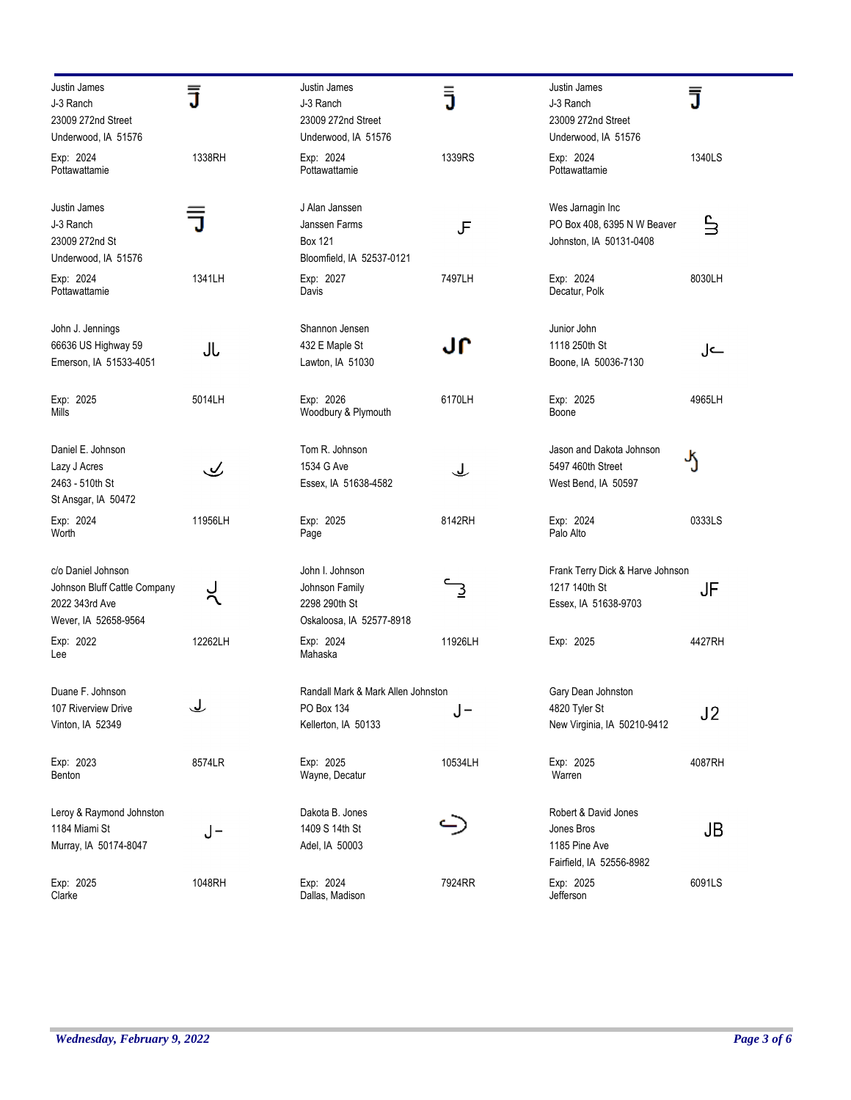| Justin James<br>J-3 Ranch<br>23009 272nd Street<br>Underwood, IA 51576                       | ₹       | Justin James<br>J-3 Ranch<br>23009 272nd Street<br>Underwood, IA 51576         | ā       | Justin James<br>J-3 Ranch<br>23009 272nd Street<br>Underwood, IA 51576          | J                                |
|----------------------------------------------------------------------------------------------|---------|--------------------------------------------------------------------------------|---------|---------------------------------------------------------------------------------|----------------------------------|
| Exp: 2024<br>Pottawattamie                                                                   | 1338RH  | Exp: 2024<br>Pottawattamie                                                     | 1339RS  | Exp: 2024<br>Pottawattamie                                                      | 1340LS                           |
| Justin James<br>J-3 Ranch<br>23009 272nd St<br>Underwood, IA 51576                           |         | J Alan Janssen<br>Janssen Farms<br><b>Box 121</b><br>Bloomfield, IA 52537-0121 | JF      | Wes Jarnagin Inc<br>PO Box 408, 6395 N W Beaver<br>Johnston, IA 50131-0408      | $\stackrel{\mathsf{c}}{\exists}$ |
| Exp: 2024<br>Pottawattamie                                                                   | 1341LH  | Exp: 2027<br>Davis                                                             | 7497LH  | Exp: 2024<br>Decatur, Polk                                                      | 8030LH                           |
| John J. Jennings<br>66636 US Highway 59<br>Emerson, IA 51533-4051                            | Jl      | Shannon Jensen<br>432 E Maple St<br>Lawton, IA 51030                           | յլ      | Junior John<br>1118 250th St<br>Boone, IA 50036-7130                            | ے ل                              |
| Exp: 2025<br>Mills                                                                           | 5014LH  | Exp: 2026<br>Woodbury & Plymouth                                               | 6170LH  | Exp: 2025<br>Boone                                                              | 4965LH                           |
| Daniel E. Johnson<br>Lazy J Acres<br>2463 - 510th St<br>St Ansgar, IA 50472                  | پ       | Tom R. Johnson<br>1534 G Ave<br>Essex, IA 51638-4582                           | لح      | Jason and Dakota Johnson<br>5497 460th Street<br>West Bend, IA 50597            | ა                                |
| Exp: 2024<br>Worth                                                                           | 11956LH | Exp: 2025<br>Page                                                              | 8142RH  | Exp: 2024<br>Palo Alto                                                          | 0333LS                           |
| c/o Daniel Johnson<br>Johnson Bluff Cattle Company<br>2022 343rd Ave<br>Wever, IA 52658-9564 |         | John I. Johnson<br>Johnson Family<br>2298 290th St<br>Oskaloosa, IA 52577-8918 |         | Frank Terry Dick & Harve Johnson<br>1217 140th St<br>Essex, IA 51638-9703       | JF                               |
| Exp: 2022<br>Lee                                                                             | 12262LH | Exp: 2024<br>Mahaska                                                           | 11926LH | Exp: 2025                                                                       | 4427RH                           |
| Duane F. Johnson<br>107 Riverview Drive<br>Vinton, IA 52349                                  | ݐ       | Randall Mark & Mark Allen Johnston<br>PO Box 134<br>Kellerton, IA 50133        | J-      | Gary Dean Johnston<br>4820 Tyler St<br>New Virginia, IA 50210-9412              | J <sub>2</sub>                   |
| Exp: 2023<br>Benton                                                                          | 8574LR  | Exp: 2025<br>Wayne, Decatur                                                    | 10534LH | Exp: 2025<br>Warren                                                             | 4087RH                           |
| Leroy & Raymond Johnston<br>1184 Miami St<br>Murray, IA 50174-8047                           | J-      | Dakota B. Jones<br>1409 S 14th St<br>Adel, IA 50003                            |         | Robert & David Jones<br>Jones Bros<br>1185 Pine Ave<br>Fairfield, IA 52556-8982 | JB                               |
| Exp: 2025<br>Clarke                                                                          | 1048RH  | Exp: 2024<br>Dallas, Madison                                                   | 7924RR  | Exp: 2025<br>Jefferson                                                          | 6091LS                           |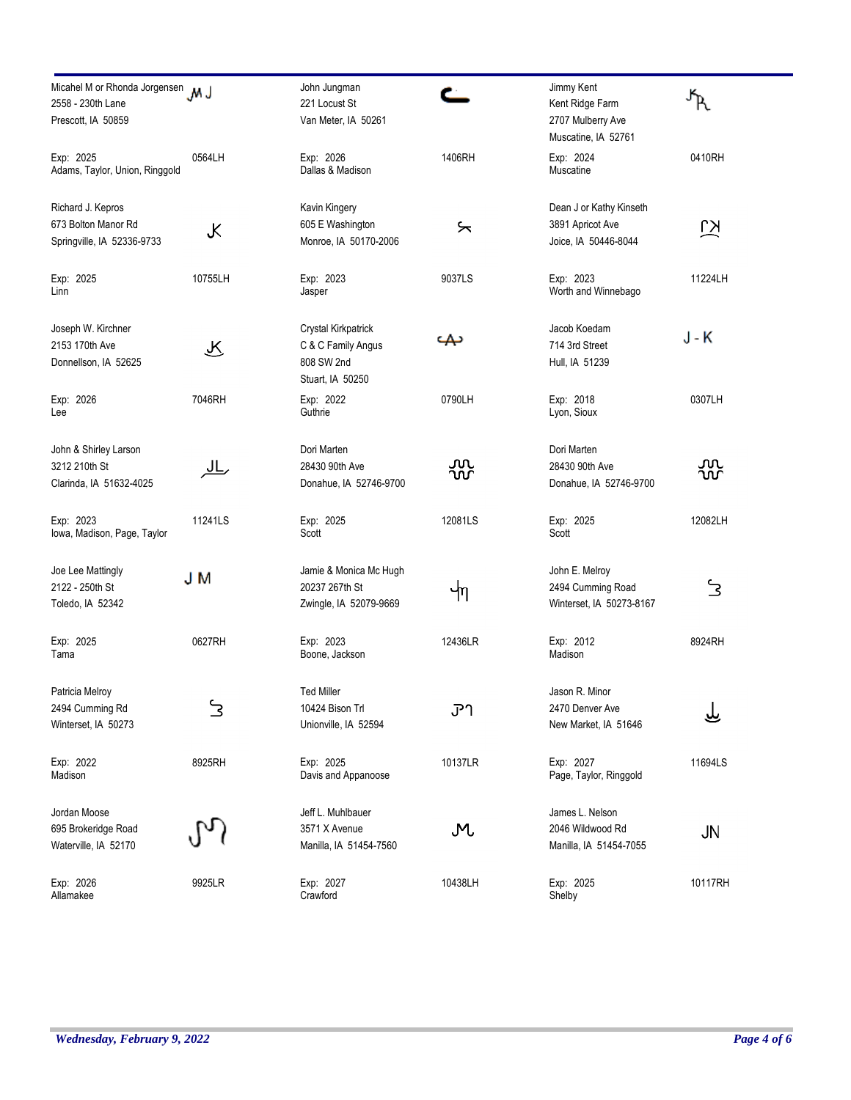| Micahel M or Rhonda Jorgensen M J<br>2558 - 230th Lane<br>Prescott, IA 50859 |           | John Jungman<br>221 Locust St<br>Van Meter, IA 50261                        | ⊂           | Jimmy Kent<br>Kent Ridge Farm<br>2707 Mulberry Ave                  |         |
|------------------------------------------------------------------------------|-----------|-----------------------------------------------------------------------------|-------------|---------------------------------------------------------------------|---------|
| Exp: 2025<br>Adams, Taylor, Union, Ringgold                                  | 0564LH    | Exp: 2026<br>Dallas & Madison                                               | 1406RH      | Muscatine, IA 52761<br>Exp: 2024<br>Muscatine                       | 0410RH  |
| Richard J. Kepros<br>673 Bolton Manor Rd<br>Springville, IA 52336-9733       | K         | Kavin Kingery<br>605 E Washington<br>Monroe, IA 50170-2006                  | ⊱           | Dean J or Kathy Kinseth<br>3891 Apricot Ave<br>Joice, IA 50446-8044 | ΚJ      |
| Exp: 2025<br>Linn                                                            | 10755LH   | Exp: 2023<br>Jasper                                                         | 9037LS      | Exp: 2023<br>Worth and Winnebago                                    | 11224LH |
| Joseph W. Kirchner<br>2153 170th Ave<br>Donnellson, IA 52625                 | ক্        | Crystal Kirkpatrick<br>C & C Family Angus<br>808 SW 2nd<br>Stuart, IA 50250 | ىمە         | Jacob Koedam<br>714 3rd Street<br>Hull, IA 51239                    | J - K   |
| Exp: 2026<br>Lee                                                             | 7046RH    | Exp: 2022<br>Guthrie                                                        | 0790LH      | Exp: 2018<br>Lyon, Sioux                                            | 0307LH  |
| John & Shirley Larson<br>3212 210th St<br>Clarinda, IA 51632-4025            | <u>JL</u> | Dori Marten<br>28430 90th Ave<br>Donahue, IA 52746-9700                     | ūَس<br>᠊᠌᠌᠁ | Dori Marten<br>28430 90th Ave<br>Donahue, IA 52746-9700             | ൜<br>൸  |
| Exp: 2023<br>Iowa, Madison, Page, Taylor                                     | 11241LS   | Exp: 2025<br>Scott                                                          | 12081LS     | Exp: 2025<br>Scott                                                  | 12082LH |
| Joe Lee Mattingly<br>2122 - 250th St<br>Toledo, IA 52342                     | J M       | Jamie & Monica Mc Hugh<br>20237 267th St<br>Zwingle, IA 52079-9669          | ຯη          | John E. Melroy<br>2494 Cumming Road<br>Winterset, IA 50273-8167     | 3       |
| Exp: 2025<br>Tama                                                            | 0627RH    | Exp: 2023<br>Boone, Jackson                                                 | 12436LR     | Exp: 2012<br>Madison                                                | 8924RH  |
| Patricia Melroy<br>2494 Cumming Rd<br>Winterset, IA 50273                    | 3         | <b>Ted Miller</b><br>10424 Bison Trl<br>Unionville, IA 52594                | ፓገ          | Jason R. Minor<br>2470 Denver Ave<br>New Market, IA 51646           |         |
| Exp: 2022<br>Madison                                                         | 8925RH    | Exp: 2025<br>Davis and Appanoose                                            | 10137LR     | Exp: 2027<br>Page, Taylor, Ringgold                                 | 11694LS |
| Jordan Moose<br>695 Brokeridge Road<br>Waterville, IA 52170                  |           | Jeff L. Muhlbauer<br>3571 X Avenue<br>Manilla, IA 51454-7560                | M           | James L. Nelson<br>2046 Wildwood Rd<br>Manilla, IA 51454-7055       | JN      |
| Exp: 2026<br>Allamakee                                                       | 9925LR    | Exp: 2027<br>Crawford                                                       | 10438LH     | Exp: 2025<br>Shelby                                                 | 10117RH |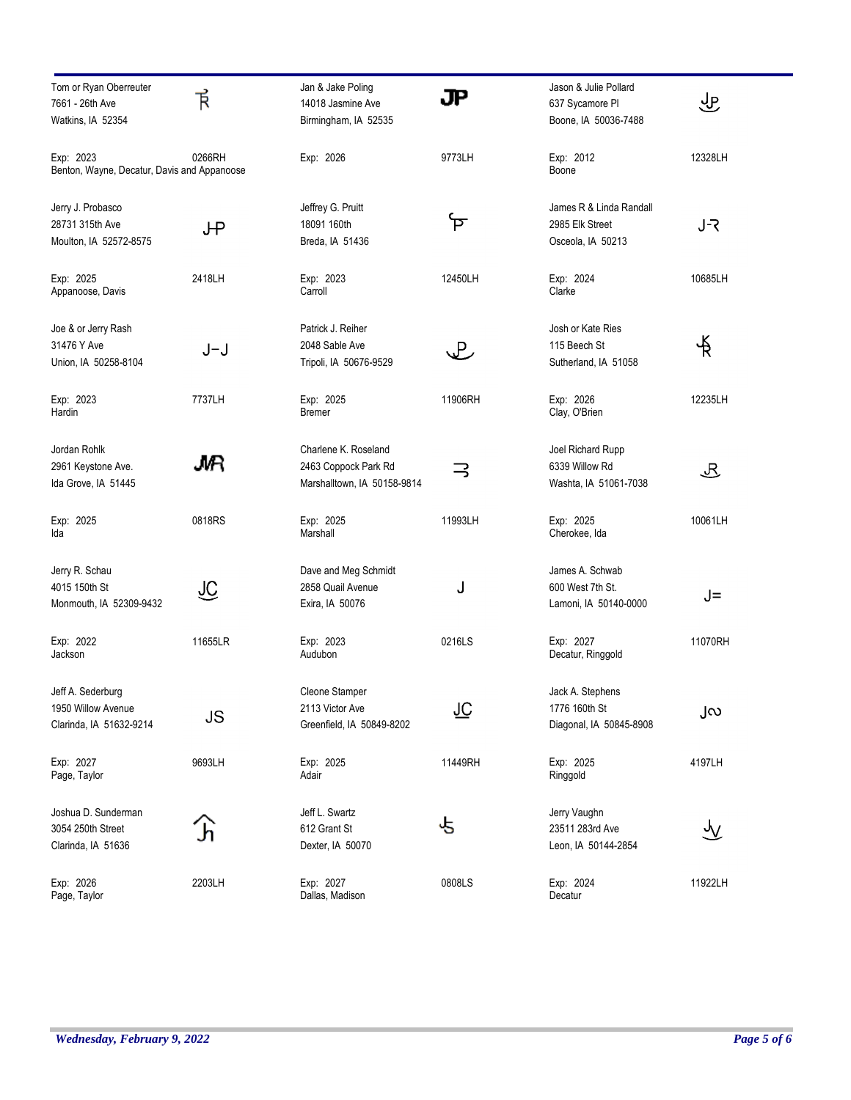| Tom or Ryan Oberreuter<br>7661 - 26th Ave                | 斥       | Jan & Jake Poling<br>14018 Jasmine Ave              | JР      | Jason & Julie Pollard<br>637 Sycamore PI  | 业       |
|----------------------------------------------------------|---------|-----------------------------------------------------|---------|-------------------------------------------|---------|
| Watkins, IA 52354                                        |         | Birmingham, IA 52535                                |         | Boone, IA 50036-7488                      |         |
| Exp: 2023<br>Benton, Wayne, Decatur, Davis and Appanoose | 0266RH  | Exp: 2026                                           | 9773LH  | Exp: 2012<br>Boone                        | 12328LH |
| Jerry J. Probasco                                        |         | Jeffrey G. Pruitt<br>18091 160th                    | ᡏ       | James R & Linda Randall                   |         |
| 28731 315th Ave<br>Moulton, IA 52572-8575                | JΨ      | Breda, IA 51436                                     |         | 2985 Elk Street<br>Osceola, IA 50213      | J-R     |
| Exp: 2025<br>Appanoose, Davis                            | 2418LH  | Exp: 2023<br>Carroll                                | 12450LH | Exp: 2024<br>Clarke                       | 10685LH |
| Joe & or Jerry Rash                                      |         | Patrick J. Reiher                                   |         | Josh or Kate Ries                         |         |
| 31476 Y Ave<br>Union, IA 50258-8104                      | J-J     | 2048 Sable Ave<br>Tripoli, IA 50676-9529            | L       | 115 Beech St<br>Sutherland, IA 51058      | 戈       |
| Exp: 2023<br>Hardin                                      | 7737LH  | Exp: 2025<br>Bremer                                 | 11906RH | Exp: 2026<br>Clay, O'Brien                | 12235LH |
| Jordan Rohlk                                             |         | Charlene K. Roseland                                |         | Joel Richard Rupp                         |         |
| 2961 Keystone Ave.<br>Ida Grove, IA 51445                | JMR     | 2463 Coppock Park Rd<br>Marshalltown, IA 50158-9814 | 3       | 6339 Willow Rd<br>Washta, IA 51061-7038   | 迟       |
| Exp: 2025<br>Ida                                         | 0818RS  | Exp: 2025<br>Marshall                               | 11993LH | Exp: 2025<br>Cherokee, Ida                | 10061LH |
| Jerry R. Schau                                           |         | Dave and Meg Schmidt                                |         | James A. Schwab                           |         |
| 4015 150th St<br>Monmouth, IA 52309-9432                 | ିକ      | 2858 Quail Avenue<br>Exira, IA 50076                | J       | 600 West 7th St.<br>Lamoni, IA 50140-0000 | J=      |
| Exp: 2022<br>Jackson                                     | 11655LR | Exp: 2023<br>Audubon                                | 0216LS  | Exp: 2027<br>Decatur, Ringgold            | 11070RH |
| Jeff A. Sederburg                                        |         | Cleone Stamper                                      |         | Jack A. Stephens                          |         |
| 1950 Willow Avenue<br>Clarinda, IA 51632-9214            | JS      | 2113 Victor Ave<br>Greenfield, IA 50849-8202        | ገ୍ତି    | 1776 160th St<br>Diagonal, IA 50845-8908  | ၂လ      |
| Exp: 2027<br>Page, Taylor                                | 9693LH  | Exp: 2025<br>Adair                                  | 11449RH | Exp: 2025<br>Ringgold                     | 4197LH  |
| Joshua D. Sunderman<br>3054 250th Street                 |         | Jeff L. Swartz                                      | ∙5      | Jerry Vaughn<br>23511 283rd Ave           |         |
| Clarinda, IA 51636                                       |         | 612 Grant St<br>Dexter, IA 50070                    |         | Leon, IA 50144-2854                       | ୬       |
| Exp: 2026<br>Page, Taylor                                | 2203LH  | Exp: 2027<br>Dallas, Madison                        | 0808LS  | Exp: 2024<br>Decatur                      | 11922LH |